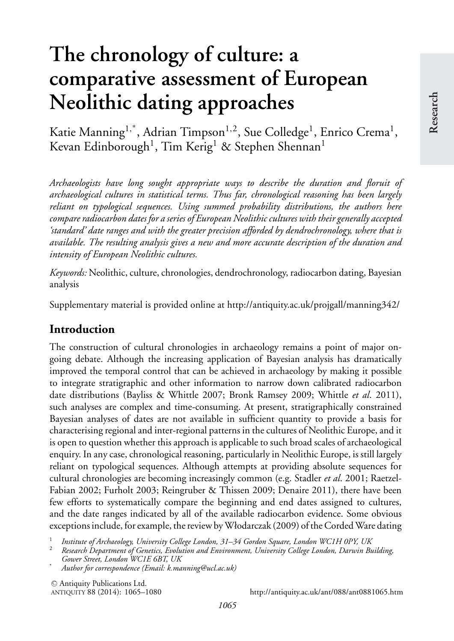# **The chronology of culture: a comparative assessment of European Neolithic dating approaches**

Katie Manning<sup>1,\*</sup>, Adrian Timpson<sup>1,2</sup>, Sue Colledge<sup>1</sup>, Enrico Crema<sup>1</sup>, Kevan Edinborough<sup>1</sup>, Tim Kerig<sup>1</sup> & Stephen Shennan<sup>1</sup>

*Archaeologists have long sought appropriate ways to describe the duration and floruit of archaeological cultures in statistical terms. Thus far, chronological reasoning has been largely reliant on typological sequences. Using summed probability distributions, the authors here compare radiocarbon dates for a series of European Neolithic cultures with their generally accepted 'standard' date ranges and with the greater precision afforded by dendrochronology, where that is available. The resulting analysis gives a new and more accurate description of the duration and intensity of European Neolithic cultures.*

*Keywords:* Neolithic, culture, chronologies, dendrochronology, radiocarbon dating, Bayesian analysis

Supplementary material is provided online at<http://antiquity.ac.uk/projgall/manning342/>

## **Introduction**

The construction of cultural chronologies in archaeology remains a point of major ongoing debate. Although the increasing application of Bayesian analysis has dramatically improved the temporal control that can be achieved in archaeology by making it possible to integrate stratigraphic and other information to narrow down calibrated radiocarbon date distributions (Bayliss & Whittle [2007;](#page-14-0) Bronk Ramsey [2009;](#page-14-1) Whittle *et al*. [2011\)](#page-15-0), such analyses are complex and time-consuming. At present, stratigraphically constrained Bayesian analyses of dates are not available in sufficient quantity to provide a basis for characterising regional and inter-regional patterns in the cultures of Neolithic Europe, and it is open to question whether this approach is applicable to such broad scales of archaeological enquiry. In any case, chronological reasoning, particularly in Neolithic Europe, is still largely reliant on typological sequences. Although attempts at providing absolute sequences for cultural chronologies are becoming increasingly common (e.g. Stadler *et al*. [2001;](#page-15-1) Raetzel-Fabian 2002; Furholt [2003;](#page-14-2) Reingruber & Thissen 2009; Denaire [2011\)](#page-14-3), there have been few efforts to systematically compare the beginning and end dates assigned to cultures, and the date ranges indicated by all of the available radiocarbon evidence. Some obvious exceptions include, for example, the review byWłodarczak (2009) of the CordedWare dating

<sup>1</sup> Institute of Archaeology, University College London, 31–34 Gordon Square, London WC1H 0PY, UK<br><sup>2</sup> Research Department of Genetics, Evolution and Environment, University College London, Darwin Building, *Gower Street, London WC1E 6BT, UK*

\* *Author for correspondence (Email: k.manning@ucl.ac.uk)*

<sup>C</sup> Antiquity Publications Ltd.

http://antiquity.ac.uk/ant/088/ant0881065.htm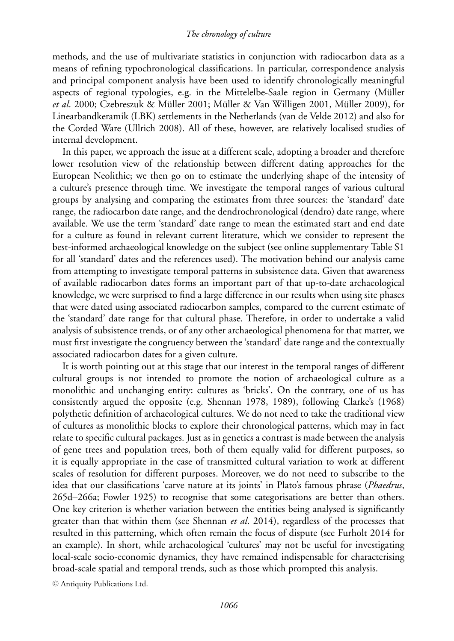#### *The chronology of culture*

methods, and the use of multivariate statistics in conjunction with radiocarbon data as a means of refining typochronological classifications. In particular, correspondence analysis and principal component analysis have been used to identify chronologically meaningful aspects of regional typologies, e.g. in the Mittelelbe-Saale region in Germany (Müller et al. 2000; Czebreszuk & Müller 2001; Müller & Van Willigen 2001, Müller 2009), for Linearbandkeramik (LBK) settlements in the Netherlands (van de Velde [2012\)](#page-15-2) and also for the Corded Ware (Ullrich 2008). All of these, however, are relatively localised studies of internal development.

In this paper, we approach the issue at a different scale, adopting a broader and therefore lower resolution view of the relationship between different dating approaches for the European Neolithic; we then go on to estimate the underlying shape of the intensity of a culture's presence through time. We investigate the temporal ranges of various cultural groups by analysing and comparing the estimates from three sources: the 'standard' date range, the radiocarbon date range, and the dendrochronological (dendro) date range, where available. We use the term 'standard' date range to mean the estimated start and end date for a culture as found in relevant current literature, which we consider to represent the best-informed archaeological knowledge on the subject (see online supplementary Table S1 for all 'standard' dates and the references used). The motivation behind our analysis came from attempting to investigate temporal patterns in subsistence data. Given that awareness of available radiocarbon dates forms an important part of that up-to-date archaeological knowledge, we were surprised to find a large difference in our results when using site phases that were dated using associated radiocarbon samples, compared to the current estimate of the 'standard' date range for that cultural phase. Therefore, in order to undertake a valid analysis of subsistence trends, or of any other archaeological phenomena for that matter, we must first investigate the congruency between the 'standard' date range and the contextually associated radiocarbon dates for a given culture.

It is worth pointing out at this stage that our interest in the temporal ranges of different cultural groups is not intended to promote the notion of archaeological culture as a monolithic and unchanging entity: cultures as 'bricks'. On the contrary, one of us has consistently argued the opposite (e.g. Shennan [1978,](#page-14-4) 1989), following Clarke's (1968) polythetic definition of archaeological cultures. We do not need to take the traditional view of cultures as monolithic blocks to explore their chronological patterns, which may in fact relate to specific cultural packages. Just as in genetics a contrast is made between the analysis of gene trees and population trees, both of them equally valid for different purposes, so it is equally appropriate in the case of transmitted cultural variation to work at different scales of resolution for different purposes. Moreover, we do not need to subscribe to the idea that our classifications 'carve nature at its joints' in Plato's famous phrase (*Phaedrus*, 265d–266a; Fowler [1925\)](#page-14-5) to recognise that some categorisations are better than others. One key criterion is whether variation between the entities being analysed is significantly greater than that within them (see Shennan *et al*. [2014\)](#page-15-3), regardless of the processes that resulted in this patterning, which often remain the focus of dispute (see Furholt 2014 for an example). In short, while archaeological 'cultures' may not be useful for investigating local-scale socio-economic dynamics, they have remained indispensable for characterising broad-scale spatial and temporal trends, such as those which prompted this analysis.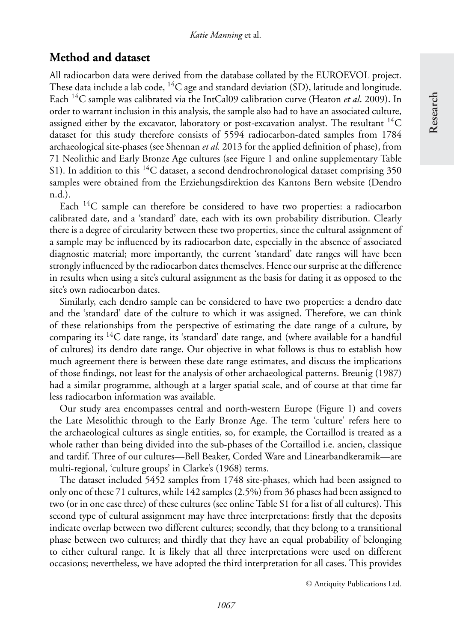## **Method and dataset**

All radiocarbon data were derived from the database collated by the EUROEVOL project. These data include a lab code,  ${}^{14}C$  age and standard deviation (SD), latitude and longitude. Each 14C sample was calibrated via the IntCal09 calibration curve (Heaton *et al*. [2009\)](#page-14-6). In order to warrant inclusion in this analysis, the sample also had to have an associated culture, assigned either by the excavator, laboratory or post-excavation analyst. The resultant  ${}^{14}C$ dataset for this study therefore consists of 5594 radiocarbon-dated samples from 1784 archaeological site-phases (see Shennan *et al.* [2013](#page-15-4) for the applied definition of phase), from 71 Neolithic and Early Bronze Age cultures (see Figure 1 and online supplementary Table S1). In addition to this <sup>14</sup>C dataset, a second dendrochronological dataset comprising 350 samples were obtained from the Erziehungsdirektion des Kantons Bern website (Dendro n.d.).

Each 14C sample can therefore be considered to have two properties: a radiocarbon calibrated date, and a 'standard' date, each with its own probability distribution. Clearly there is a degree of circularity between these two properties, since the cultural assignment of a sample may be influenced by its radiocarbon date, especially in the absence of associated diagnostic material; more importantly, the current 'standard' date ranges will have been strongly influenced by the radiocarbon dates themselves. Hence our surprise at the difference in results when using a site's cultural assignment as the basis for dating it as opposed to the site's own radiocarbon dates.

Similarly, each dendro sample can be considered to have two properties: a dendro date and the 'standard' date of the culture to which it was assigned. Therefore, we can think of these relationships from the perspective of estimating the date range of a culture, by comparing its  ${}^{14}C$  date range, its 'standard' date range, and (where available for a handful of cultures) its dendro date range. Our objective in what follows is thus to establish how much agreement there is between these date range estimates, and discuss the implications of those findings, not least for the analysis of other archaeological patterns. Breunig [\(1987\)](#page-14-7) had a similar programme, although at a larger spatial scale, and of course at that time far less radiocarbon information was available.

Our study area encompasses central and north-western Europe (Figure 1) and covers the Late Mesolithic through to the Early Bronze Age. The term 'culture' refers here to the archaeological cultures as single entities, so, for example, the Cortaillod is treated as a whole rather than being divided into the sub-phases of the Cortaillod i.e. ancien, classique and tardif. Three of our cultures—Bell Beaker, Corded Ware and Linearbandkeramik—are multi-regional, 'culture groups' in Clarke's (1968) terms.

The dataset included 5452 samples from 1748 site-phases, which had been assigned to only one of these 71 cultures, while 142 samples (2.5%) from 36 phases had been assigned to two (or in one case three) of these cultures (see online Table S1 for a list of all cultures). This second type of cultural assignment may have three interpretations: firstly that the deposits indicate overlap between two different cultures; secondly, that they belong to a transitional phase between two cultures; and thirdly that they have an equal probability of belonging to either cultural range. It is likely that all three interpretations were used on different occasions; nevertheless, we have adopted the third interpretation for all cases. This provides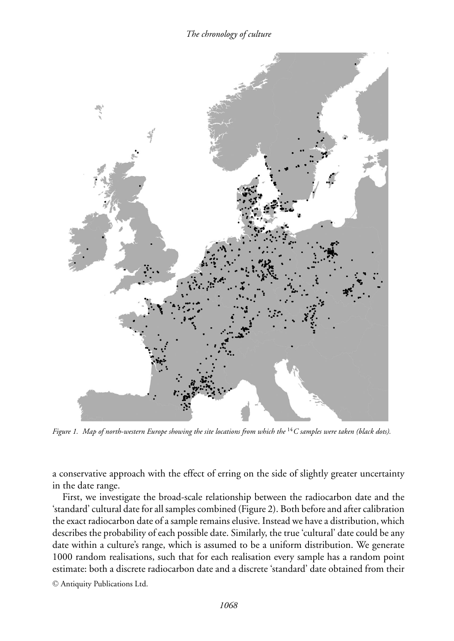

*Figure 1. Map of north-western Europe showing the site locations from which the* <sup>14</sup>C samples were taken (black dots).

a conservative approach with the effect of erring on the side of slightly greater uncertainty in the date range.

First, we investigate the broad-scale relationship between the radiocarbon date and the 'standard' cultural date for all samples combined (Figure 2). Both before and after calibration the exact radiocarbon date of a sample remains elusive. Instead we have a distribution, which describes the probability of each possible date. Similarly, the true 'cultural' date could be any date within a culture's range, which is assumed to be a uniform distribution. We generate 1000 random realisations, such that for each realisation every sample has a random point estimate: both a discrete radiocarbon date and a discrete 'standard' date obtained from their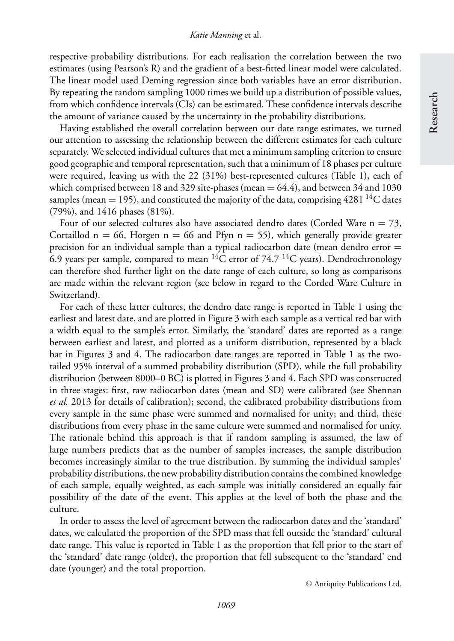respective probability distributions. For each realisation the correlation between the two estimates (using Pearson's R) and the gradient of a best-fitted linear model were calculated. The linear model used Deming regression since both variables have an error distribution. By repeating the random sampling 1000 times we build up a distribution of possible values, from which confidence intervals (CIs) can be estimated. These confidence intervals describe the amount of variance caused by the uncertainty in the probability distributions.

Having established the overall correlation between our date range estimates, we turned our attention to assessing the relationship between the different estimates for each culture separately. We selected individual cultures that met a minimum sampling criterion to ensure good geographic and temporal representation, such that a minimum of 18 phases per culture were required, leaving us with the 22 (31%) best-represented cultures (Table 1), each of which comprised between 18 and 329 site-phases (mean  $= 64.4$ ), and between 34 and 1030 samples (mean = 195), and constituted the majority of the data, comprising 4281  $^{14}$ C dates (79%), and 1416 phases (81%).

Four of our selected cultures also have associated dendro dates (Corded Ware  $n = 73$ , Cortaillod  $n = 66$ , Horgen  $n = 66$  and Pfyn  $n = 55$ ), which generally provide greater precision for an individual sample than a typical radiocarbon date (mean dendro error  $=$ 6.9 years per sample, compared to mean  $^{14}$ C error of 74.7  $^{14}$ C years). Dendrochronology can therefore shed further light on the date range of each culture, so long as comparisons are made within the relevant region (see below in regard to the Corded Ware Culture in Switzerland).

For each of these latter cultures, the dendro date range is reported in Table 1 using the earliest and latest date, and are plotted in Figure 3 with each sample as a vertical red bar with a width equal to the sample's error. Similarly, the 'standard' dates are reported as a range between earliest and latest, and plotted as a uniform distribution, represented by a black bar in Figures 3 and 4. The radiocarbon date ranges are reported in Table 1 as the twotailed 95% interval of a summed probability distribution (SPD), while the full probability distribution (between 8000–0 BC) is plotted in Figures 3 and 4. Each SPD was constructed in three stages: first, raw radiocarbon dates (mean and SD) were calibrated (see Shennan *et al.* [2013](#page-15-4) for details of calibration); second, the calibrated probability distributions from every sample in the same phase were summed and normalised for unity; and third, these distributions from every phase in the same culture were summed and normalised for unity. The rationale behind this approach is that if random sampling is assumed, the law of large numbers predicts that as the number of samples increases, the sample distribution becomes increasingly similar to the true distribution. By summing the individual samples' probability distributions, the new probability distribution contains the combined knowledge of each sample, equally weighted, as each sample was initially considered an equally fair possibility of the date of the event. This applies at the level of both the phase and the culture.

In order to assess the level of agreement between the radiocarbon dates and the 'standard' dates, we calculated the proportion of the SPD mass that fell outside the 'standard' cultural date range. This value is reported in Table 1 as the proportion that fell prior to the start of the 'standard' date range (older), the proportion that fell subsequent to the 'standard' end date (younger) and the total proportion.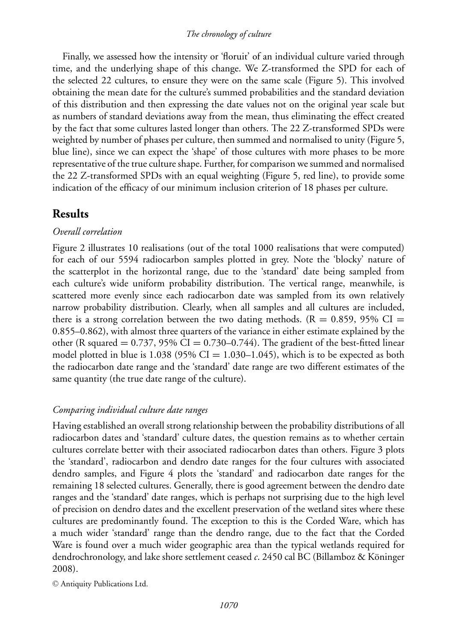#### *The chronology of culture*

Finally, we assessed how the intensity or 'floruit' of an individual culture varied through time, and the underlying shape of this change. We Z-transformed the SPD for each of the selected 22 cultures, to ensure they were on the same scale (Figure 5). This involved obtaining the mean date for the culture's summed probabilities and the standard deviation of this distribution and then expressing the date values not on the original year scale but as numbers of standard deviations away from the mean, thus eliminating the effect created by the fact that some cultures lasted longer than others. The 22 Z-transformed SPDs were weighted by number of phases per culture, then summed and normalised to unity (Figure 5, blue line), since we can expect the 'shape' of those cultures with more phases to be more representative of the true culture shape. Further, for comparison we summed and normalised the 22 Z-transformed SPDs with an equal weighting (Figure 5, red line), to provide some indication of the efficacy of our minimum inclusion criterion of 18 phases per culture.

## **Results**

#### *Overall correlation*

Figure 2 illustrates 10 realisations (out of the total 1000 realisations that were computed) for each of our 5594 radiocarbon samples plotted in grey. Note the 'blocky' nature of the scatterplot in the horizontal range, due to the 'standard' date being sampled from each culture's wide uniform probability distribution. The vertical range, meanwhile, is scattered more evenly since each radiocarbon date was sampled from its own relatively narrow probability distribution. Clearly, when all samples and all cultures are included, there is a strong correlation between the two dating methods. ( $R = 0.859$ , 95% CI = 0.855–0.862), with almost three quarters of the variance in either estimate explained by the other (R squared  $= 0.737$ , 95% CI  $= 0.730 - 0.744$ ). The gradient of the best-fitted linear model plotted in blue is 1.038 (95% CI =  $1.030-1.045$ ), which is to be expected as both the radiocarbon date range and the 'standard' date range are two different estimates of the same quantity (the true date range of the culture).

#### *Comparing individual culture date ranges*

Having established an overall strong relationship between the probability distributions of all radiocarbon dates and 'standard' culture dates, the question remains as to whether certain cultures correlate better with their associated radiocarbon dates than others. Figure 3 plots the 'standard', radiocarbon and dendro date ranges for the four cultures with associated dendro samples, and Figure 4 plots the 'standard' and radiocarbon date ranges for the remaining 18 selected cultures. Generally, there is good agreement between the dendro date ranges and the 'standard' date ranges, which is perhaps not surprising due to the high level of precision on dendro dates and the excellent preservation of the wetland sites where these cultures are predominantly found. The exception to this is the Corded Ware, which has a much wider 'standard' range than the dendro range, due to the fact that the Corded Ware is found over a much wider geographic area than the typical wetlands required for dendrochronology, and lake shore settlement ceased *c*. 2450 cal BC (Billamboz & Koninger ¨ 2008).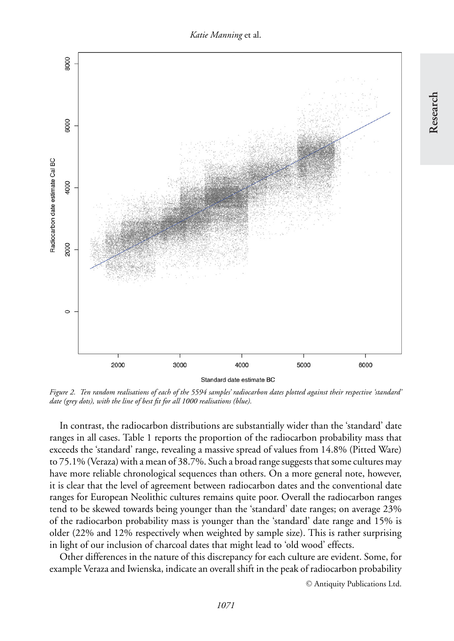*Katie Manning* et al.



*Figure 2. Ten random realisations of each of the 5594 samples' radiocarbon dates plotted against their respective 'standard' date (grey dots), with the line of best fit for all 1000 realisations (blue).*

In contrast, the radiocarbon distributions are substantially wider than the 'standard' date ranges in all cases. Table 1 reports the proportion of the radiocarbon probability mass that exceeds the 'standard' range, revealing a massive spread of values from 14.8% (Pitted Ware) to 75.1% (Veraza) with a mean of 38.7%. Such a broad range suggests that some cultures may have more reliable chronological sequences than others. On a more general note, however, it is clear that the level of agreement between radiocarbon dates and the conventional date ranges for European Neolithic cultures remains quite poor. Overall the radiocarbon ranges tend to be skewed towards being younger than the 'standard' date ranges; on average 23% of the radiocarbon probability mass is younger than the 'standard' date range and 15% is older (22% and 12% respectively when weighted by sample size). This is rather surprising in light of our inclusion of charcoal dates that might lead to 'old wood' effects.

Other differences in the nature of this discrepancy for each culture are evident. Some, for example Veraza and Iwienska, indicate an overall shift in the peak of radiocarbon probability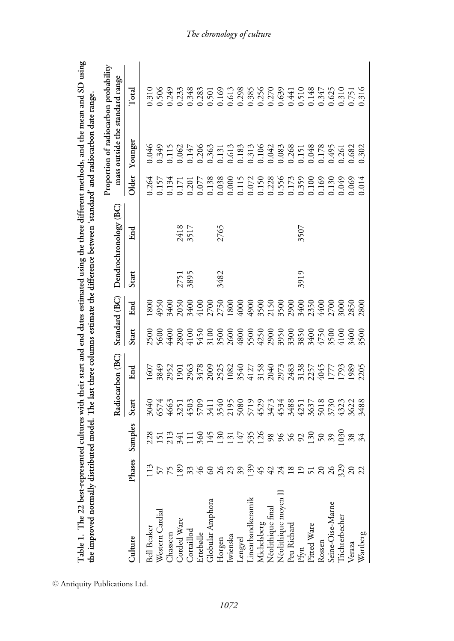| Table 1. The 22 best-represented cultures with their start and end dates estimated using the three different methods, and the mean and SD using<br>the improved normally distributed model. The last three columns estimate the difference between 'standard' and radiocarbon date range. |              |                   |       |                                                                                                                                                                                                                                                                                                               |                                      |                              |              |                       |       |                                                                          |                                           |
|-------------------------------------------------------------------------------------------------------------------------------------------------------------------------------------------------------------------------------------------------------------------------------------------|--------------|-------------------|-------|---------------------------------------------------------------------------------------------------------------------------------------------------------------------------------------------------------------------------------------------------------------------------------------------------------------|--------------------------------------|------------------------------|--------------|-----------------------|-------|--------------------------------------------------------------------------|-------------------------------------------|
|                                                                                                                                                                                                                                                                                           |              |                   |       | Radiocarbon (BC)                                                                                                                                                                                                                                                                                              |                                      | Standard (BC)                |              | Dendrochronology (BC) |       | Proportion of radiocarbon probability<br>mass outside the standard range |                                           |
| Culture                                                                                                                                                                                                                                                                                   | Phases       | Samples           | Start | End                                                                                                                                                                                                                                                                                                           | Start                                | $_{\rm End}$                 | Start        | End                   | Older | Younger                                                                  | $\begin{array}{c}\text{Total}\end{array}$ |
| Bell Beaker                                                                                                                                                                                                                                                                               |              |                   |       | 1607                                                                                                                                                                                                                                                                                                          |                                      | 1800                         |              |                       |       | 0.046                                                                    | 0.310                                     |
| Western Cardial                                                                                                                                                                                                                                                                           | 125523246233 | 2313341           |       | 3849                                                                                                                                                                                                                                                                                                          | 2500                                 | 4950                         |              |                       |       |                                                                          | 0.506                                     |
| Chasseen                                                                                                                                                                                                                                                                                  |              |                   |       | 2952                                                                                                                                                                                                                                                                                                          | 4400                                 | 3400                         |              |                       |       |                                                                          | 0.249                                     |
|                                                                                                                                                                                                                                                                                           |              |                   |       |                                                                                                                                                                                                                                                                                                               |                                      | 2050                         |              |                       |       |                                                                          |                                           |
| Corded Ware<br>Cortaillod<br>Ertebølle<br>Globular Amphora                                                                                                                                                                                                                                |              | $\frac{11}{360}$  |       |                                                                                                                                                                                                                                                                                                               | 2800<br>4100<br>5450                 |                              | 2751<br>3895 | 2418<br>3517          |       |                                                                          | 0.233<br>0.348<br>0.283                   |
|                                                                                                                                                                                                                                                                                           |              |                   |       |                                                                                                                                                                                                                                                                                                               |                                      |                              |              |                       |       |                                                                          |                                           |
|                                                                                                                                                                                                                                                                                           |              | $145$<br>$151$    |       | $\begin{array}{l} 1903 \\ 1903 \\ 3478 \\ 2003 \\ 3403 \\ 2003 \\ 2003 \\ 2003 \\ 2003 \\ 2003 \\ 2003 \\ 2003 \\ 2003 \\ 2003 \\ 2003 \\ 2003 \\ 2003 \\ 2003 \\ 2003 \\ 2003 \\ 2003 \\ 2003 \\ 2003 \\ 2003 \\ 2003 \\ 2003 \\ 2003 \\ 2003 \\ 2003 \\ 2003 \\ 2003 \\ 2003 \\ 2003 \\ 2003 \\ 2003 \\ 20$ | 3100<br>3500<br>4800<br>4250<br>4250 | 3400<br>4100<br>2750<br>2750 |              |                       |       |                                                                          |                                           |
| Horgen                                                                                                                                                                                                                                                                                    |              |                   |       |                                                                                                                                                                                                                                                                                                               |                                      |                              | 3482         | 2765                  |       |                                                                          |                                           |
| Iwienska                                                                                                                                                                                                                                                                                  |              |                   |       |                                                                                                                                                                                                                                                                                                               |                                      | 1800<br>4000                 |              |                       |       |                                                                          |                                           |
| Lengyel                                                                                                                                                                                                                                                                                   |              | 147<br>585<br>126 |       |                                                                                                                                                                                                                                                                                                               |                                      |                              |              |                       |       |                                                                          |                                           |
|                                                                                                                                                                                                                                                                                           |              |                   |       |                                                                                                                                                                                                                                                                                                               |                                      |                              |              |                       |       |                                                                          |                                           |
| Linearbandkeramik<br>Michelsberg                                                                                                                                                                                                                                                          | 5442         |                   |       |                                                                                                                                                                                                                                                                                                               |                                      | $4900$<br>$3500$<br>$2150$   |              |                       |       |                                                                          |                                           |
|                                                                                                                                                                                                                                                                                           |              | $^{98}$           |       |                                                                                                                                                                                                                                                                                                               |                                      |                              |              |                       |       |                                                                          |                                           |
| Néolithique final<br>Néolithique moyen II                                                                                                                                                                                                                                                 |              |                   |       |                                                                                                                                                                                                                                                                                                               | 2900<br>3950<br>3850<br>3400         | 3500<br>2900                 |              |                       |       |                                                                          |                                           |
| Peu Richard                                                                                                                                                                                                                                                                               |              |                   |       |                                                                                                                                                                                                                                                                                                               |                                      |                              |              |                       |       |                                                                          |                                           |
| Pfyn                                                                                                                                                                                                                                                                                      |              |                   |       |                                                                                                                                                                                                                                                                                                               |                                      | 3400<br>2350                 | 3919         | 3507                  |       |                                                                          |                                           |
| Pitted Ware                                                                                                                                                                                                                                                                               | 189728822    | 8889988           |       |                                                                                                                                                                                                                                                                                                               |                                      |                              |              |                       |       |                                                                          |                                           |
| Rossen                                                                                                                                                                                                                                                                                    |              |                   |       |                                                                                                                                                                                                                                                                                                               | 4750<br>3500<br>4100                 | 4400<br>2700                 |              |                       |       |                                                                          |                                           |
| Seine-Oise-Marne                                                                                                                                                                                                                                                                          |              |                   |       |                                                                                                                                                                                                                                                                                                               |                                      |                              |              |                       |       |                                                                          |                                           |
| Trichterbecher                                                                                                                                                                                                                                                                            |              | 103C              |       |                                                                                                                                                                                                                                                                                                               |                                      | 3000                         |              |                       |       | 0.261                                                                    |                                           |
| Veraza                                                                                                                                                                                                                                                                                    |              | $38 \frac{4}{3}$  |       |                                                                                                                                                                                                                                                                                                               | 3400                                 | 2850                         |              |                       |       | 0.682                                                                    |                                           |
| Wartberg                                                                                                                                                                                                                                                                                  |              |                   |       |                                                                                                                                                                                                                                                                                                               | 3500                                 | 2800                         |              |                       | 0.014 | 0.302                                                                    | 0.316                                     |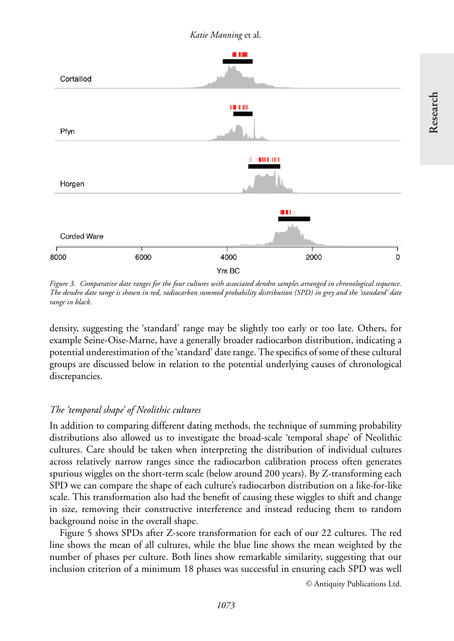

*Figure 3. Comparative date ranges for the four cultures with associated dendro samples arranged in chronological sequence. The dendro date range is shown in red, radiocarbon summed probability distribution (SPD) in grey and the 'standard' date range in black.*

density, suggesting the 'standard' range may be slightly too early or too late. Others, for example Seine-Oise-Marne, have a generally broader radiocarbon distribution, indicating a potential underestimation of the 'standard' date range. The specifics of some of these cultural groups are discussed below in relation to the potential underlying causes of chronological discrepancies.

### *The 'temporal shape' of Neolithic cultures*

In addition to comparing different dating methods, the technique of summing probability distributions also allowed us to investigate the broad-scale 'temporal shape' of Neolithic cultures. Care should be taken when interpreting the distribution of individual cultures across relatively narrow ranges since the radiocarbon calibration process often generates spurious wiggles on the short-term scale (below around 200 years). By Z-transforming each SPD we can compare the shape of each culture's radiocarbon distribution on a like-for-like scale. This transformation also had the benefit of causing these wiggles to shift and change in size, removing their constructive interference and instead reducing them to random background noise in the overall shape.

Figure 5 shows SPDs after Z-score transformation for each of our 22 cultures. The red line shows the mean of all cultures, while the blue line shows the mean weighted by the number of phases per culture. Both lines show remarkable similarity, suggesting that our inclusion criterion of a minimum 18 phases was successful in ensuring each SPD was well

<sup>C</sup> Antiquity Publications Ltd.

**Research**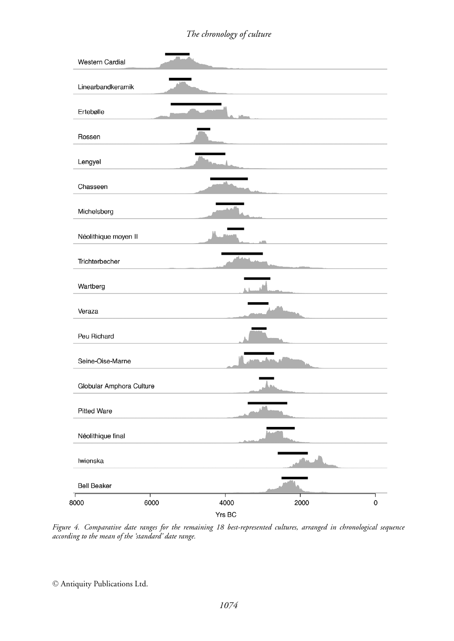## *The chronology of culture*



*Figure 4. Comparative date ranges for the remaining 18 best-represented cultures, arranged in chronological sequence according to the mean of the 'standard' date range.*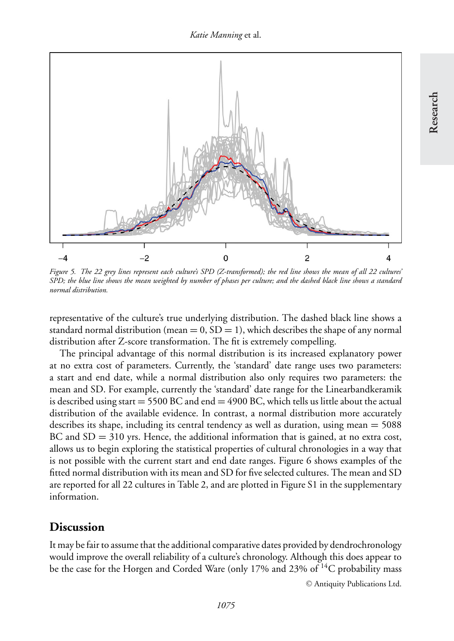*Katie Manning* et al.



*Figure 5. The 22 grey lines represent each culture's SPD (Z-transformed); the red line shows the mean of all 22 cultures' SPD; the blue line shows the mean weighted by number of phases per culture; and the dashed black line shows a standard normal distribution.*

representative of the culture's true underlying distribution. The dashed black line shows a standard normal distribution (mean  $= 0$ , SD  $= 1$ ), which describes the shape of any normal distribution after Z-score transformation. The fit is extremely compelling.

The principal advantage of this normal distribution is its increased explanatory power at no extra cost of parameters. Currently, the 'standard' date range uses two parameters: a start and end date, while a normal distribution also only requires two parameters: the mean and SD. For example, currently the 'standard' date range for the Linearbandkeramik is described using start  $= 5500$  BC and end  $= 4900$  BC, which tells us little about the actual distribution of the available evidence. In contrast, a normal distribution more accurately describes its shape, including its central tendency as well as duration, using mean = 5088 BC and  $SD = 310$  yrs. Hence, the additional information that is gained, at no extra cost, allows us to begin exploring the statistical properties of cultural chronologies in a way that is not possible with the current start and end date ranges. Figure 6 shows examples of the fitted normal distribution with its mean and SD for five selected cultures. The mean and SD are reported for all 22 cultures in Table 2, and are plotted in Figure S1 in the supplementary information.

## **Discussion**

It may be fair to assume that the additional comparative dates provided by dendrochronology would improve the overall reliability of a culture's chronology. Although this does appear to be the case for the Horgen and Corded Ware (only 17% and 23% of  $^{14}$ C probability mass

<sup>C</sup> Antiquity Publications Ltd.

**Research**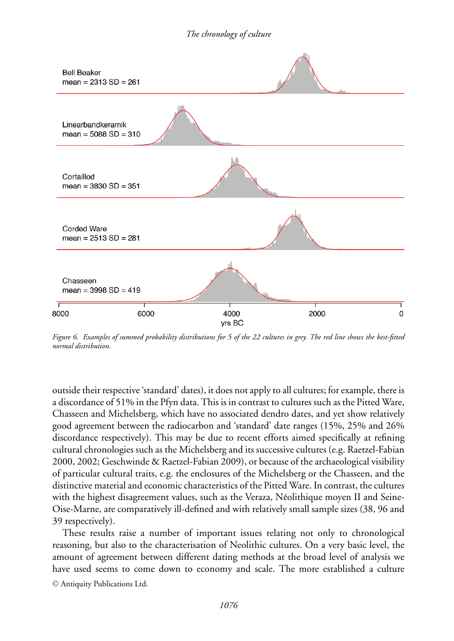

*Figure 6. Examples of summed probability distributions for 5 of the 22 cultures in grey. The red line shows the best-fitted normal distribution.*

outside their respective 'standard' dates), it does not apply to all cultures; for example, there is a discordance of 51% in the Pfyn data. This is in contrast to cultures such as the Pitted Ware, Chasseen and Michelsberg, which have no associated dendro dates, and yet show relatively good agreement between the radiocarbon and 'standard' date ranges (15%, 25% and 26% discordance respectively). This may be due to recent efforts aimed specifically at refining cultural chronologies such as the Michelsberg and its successive cultures (e.g. Raetzel-Fabian [2000,](#page-14-8) 2002; Geschwinde & Raetzel-Fabian [2009\)](#page-14-9), or because of the archaeological visibility of particular cultural traits, e.g. the enclosures of the Michelsberg or the Chasseen, and the distinctive material and economic characteristics of the Pitted Ware. In contrast, the cultures with the highest disagreement values, such as the Veraza, Néolithique moyen II and Seine-Oise-Marne, are comparatively ill-defined and with relatively small sample sizes (38, 96 and 39 respectively).

These results raise a number of important issues relating not only to chronological reasoning, but also to the characterisation of Neolithic cultures. On a very basic level, the amount of agreement between different dating methods at the broad level of analysis we have used seems to come down to economy and scale. The more established a culture <sup>C</sup> Antiquity Publications Ltd.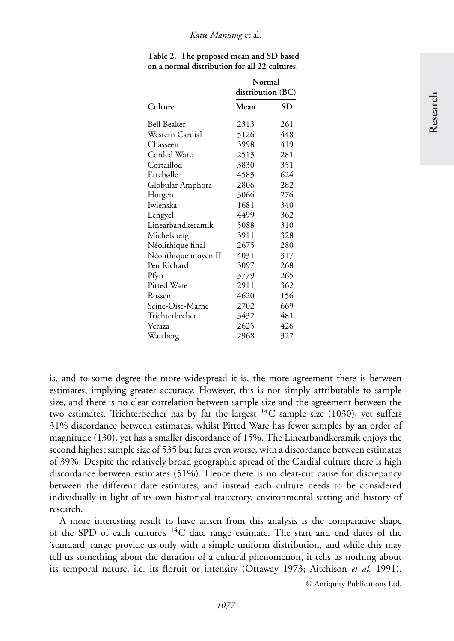|                      | Normal            |     |  |
|----------------------|-------------------|-----|--|
|                      | distribution (BC) |     |  |
| Culture              | Mean              | SD  |  |
| <b>Bell Beaker</b>   | 2313              | 261 |  |
| Western Cardial      | 5126              | 448 |  |
| Chasseen             | 3998              | 419 |  |
| Corded Ware          | 2513              | 281 |  |
| Cortaillod           | 3830              | 351 |  |
| Ertebølle            | 4583              | 624 |  |
| Globular Amphora     | 2806              | 282 |  |
| Horgen               | 3066              | 276 |  |
| Iwienska             | 1681              | 340 |  |
| Lengyel              | 4499              | 362 |  |
| Linearbandkeramik    | 5088              | 310 |  |
| Michelsberg          | 3911              | 328 |  |
| Néolithique final    | 2675              | 280 |  |
| Néolithique moyen II | 4031              | 317 |  |
| Peu Richard          | 3097              | 268 |  |
| Pfyn                 | 3779              | 265 |  |
| Pitted Ware          | 2911              | 362 |  |
| Rossen               | 4620              | 156 |  |
| Seine-Oise-Marne     | 2702              | 669 |  |
| Trichterbecher       | 3432              | 481 |  |
| Veraza               | 2625              | 426 |  |
| Wartberg             | 2968              | 322 |  |

**Table 2. The proposed mean and SD based on a normal distribution for all 22 cultures.**

is, and to some degree the more widespread it is, the more agreement there is between estimates, implying greater accuracy. However, this is not simply attributable to sample size, and there is no clear correlation between sample size and the agreement between the two estimates. Trichterbecher has by far the largest  $^{14}C$  sample size (1030), yet suffers 31% discordance between estimates, whilst Pitted Ware has fewer samples by an order of magnitude (130), yet has a smaller discordance of 15%. The Linearbandkeramik enjoys the second highest sample size of 535 but fares even worse, with a discordance between estimates of 39%. Despite the relatively broad geographic spread of the Cardial culture there is high discordance between estimates (51%). Hence there is no clear-cut cause for discrepancy between the different date estimates, and instead each culture needs to be considered individually in light of its own historical trajectory, environmental setting and history of research.

A more interesting result to have arisen from this analysis is the comparative shape of the SPD of each culture's 14C date range estimate. The start and end dates of the 'standard' range provide us only with a simple uniform distribution, and while this may tell us something about the duration of a cultural phenomenon, it tells us nothing about its temporal nature, i.e. its floruit or intensity (Ottaway [1973;](#page-14-10) Aitchison *et al.* [1991\)](#page-14-11).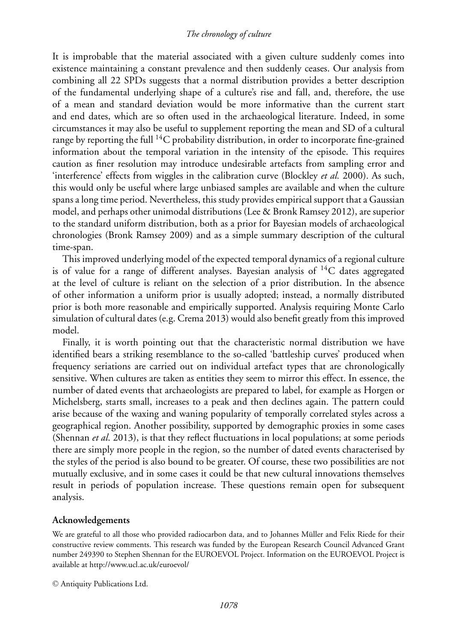It is improbable that the material associated with a given culture suddenly comes into existence maintaining a constant prevalence and then suddenly ceases. Our analysis from combining all 22 SPDs suggests that a normal distribution provides a better description of the fundamental underlying shape of a culture's rise and fall, and, therefore, the use of a mean and standard deviation would be more informative than the current start and end dates, which are so often used in the archaeological literature. Indeed, in some circumstances it may also be useful to supplement reporting the mean and SD of a cultural range by reporting the full <sup>14</sup>C probability distribution, in order to incorporate fine-grained information about the temporal variation in the intensity of the episode. This requires caution as finer resolution may introduce undesirable artefacts from sampling error and 'interference' effects from wiggles in the calibration curve (Blockley *et al.* [2000\)](#page-14-12). As such, this would only be useful where large unbiased samples are available and when the culture spans a long time period. Nevertheless, this study provides empirical support that a Gaussian model, and perhaps other unimodal distributions (Lee & Bronk Ramsey [2012\)](#page-14-13), are superior to the standard uniform distribution, both as a prior for Bayesian models of archaeological chronologies (Bronk Ramsey [2009\)](#page-14-1) and as a simple summary description of the cultural time-span.

This improved underlying model of the expected temporal dynamics of a regional culture is of value for a range of different analyses. Bayesian analysis of  $^{14}C$  dates aggregated at the level of culture is reliant on the selection of a prior distribution. In the absence of other information a uniform prior is usually adopted; instead, a normally distributed prior is both more reasonable and empirically supported. Analysis requiring Monte Carlo simulation of cultural dates (e.g. Crema [2013\)](#page-14-14) would also benefit greatly from this improved model.

Finally, it is worth pointing out that the characteristic normal distribution we have identified bears a striking resemblance to the so-called 'battleship curves' produced when frequency seriations are carried out on individual artefact types that are chronologically sensitive. When cultures are taken as entities they seem to mirror this effect. In essence, the number of dated events that archaeologists are prepared to label, for example as Horgen or Michelsberg, starts small, increases to a peak and then declines again. The pattern could arise because of the waxing and waning popularity of temporally correlated styles across a geographical region. Another possibility, supported by demographic proxies in some cases (Shennan *et al*. [2013\)](#page-15-4), is that they reflect fluctuations in local populations; at some periods there are simply more people in the region, so the number of dated events characterised by the styles of the period is also bound to be greater. Of course, these two possibilities are not mutually exclusive, and in some cases it could be that new cultural innovations themselves result in periods of population increase. These questions remain open for subsequent analysis.

#### **Acknowledgements**

We are grateful to all those who provided radiocarbon data, and to Johannes Müller and Felix Riede for their constructive review comments. This research was funded by the European Research Council Advanced Grant number 249390 to Stephen Shennan for the EUROEVOL Project. Information on the EUROEVOL Project is available at<http://www.ucl.ac.uk/euroevol/>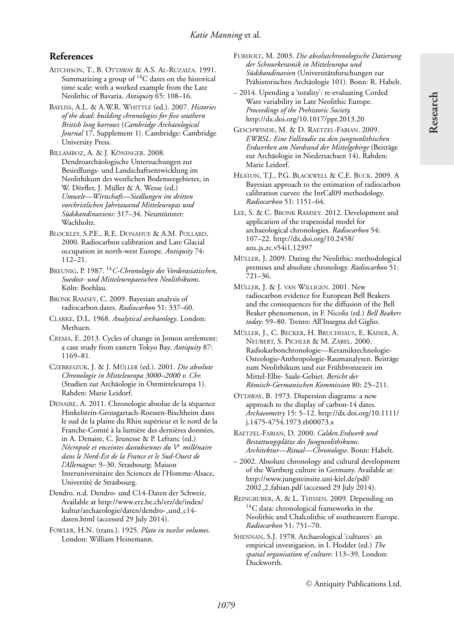### **References**

- <span id="page-14-11"></span>AITCHISON, T., B. OTTAWAY & A.S. AL-RUZAIZA. 1991. Summarizing a group of  ${}^{14}C$  dates on the historical time scale: with a worked example from the Late Neolithic of Bavaria. *Antiquity* 65: 108–16.
- <span id="page-14-0"></span>BAYLISS, A.L. & A.W.R. WHITTLE (ed.). 2007. *Histories of the dead: building chronologies for five southern British long barrows* (*Cambridge Archaeological Journal* 17, Supplement 1). Cambridge: Cambridge University Press.

BILLAMBOZ, A. & J. KÖNINGER. 2008. Dendroarchaologische Untersuchungen zur ¨ Besiedlungs- und Landschaftsentwicklung im Neolithikum des westlichen Bodenseegebietes, in W. Dörfler, J. Müller & A. Wesse (ed.) *Umwelt—Wirtschaft—Siedlungen im dritten vorchristlichen Jahrtausend Mitteleuropas und* Südskandinaviens: 317–34. Neumünster: Wachholtz.

<span id="page-14-12"></span>BLOCKLEY, S.P.E., R.E. DONAHUE & A.M. POLLARD. 2000. Radiocarbon calibration and Late Glacial occupation in north-west Europe. *Antiquity* 74: 112–21.

<span id="page-14-7"></span>BREUNIG, P. 1987. <sup>14</sup>*C-Chronologie des Vorderasiatischen, Suedost- und Mitteleuropaeischen Neolithikums*. Köln: Boehlau.

<span id="page-14-1"></span>BRONK RAMSEY, C. 2009. Bayesian analysis of radiocarbon dates. *Radiocarbon* 51: 337–60.

CLARKE, D.L. 1968. *Analytical archaeology*. London: Methuen.

<span id="page-14-14"></span>CREMA, E. 2013. Cycles of change in Jomon settlement: a case study from eastern Tokyo Bay. *Antiquity* 87: 1169–81.

CZEBRESZUK, J. & J. MÜLLER (ed.). 2001. *Die absolute Chronologie in Mitteleuropa 3000–2000 v. Chr.* (Studien zur Archäologie in Ostmitteleuropa 1). Rahden: Marie Leidorf.

<span id="page-14-3"></span>DENAIRE, A. 2011. Chronologie absolue de la séquence Hinkelstein-Grossgartach-Roessen-Bischheim dans le sud de la plaine du Rhin supérieur et le nord de la Franche-Comté à la lumière des dernières données, in A. Denaire, C. Jeunesse & P. Lefranc (ed.) *N´ecropole et enceintes danubiennes du Ve mill´enaire dans le Nord-Est de la France et le Sud-Ouest de l'Allemagne*: 9–30. Strasbourg: Maison Interuniversitaire des Sciences de l'Homme-Alsace, Universite de Strasbourg. ´

Dendro. n.d. Dendro- und C14-Daten der Schweiz. Available at [http://www.erz.be.ch/erz/de/index/](http://www.erz.be.ch/erz/de/index/kultur/archaeologie/daten/dendro-_und_c14-daten.html) [kultur/archaeologie/daten/dendro-](http://www.erz.be.ch/erz/de/index/kultur/archaeologie/daten/dendro-_und_c14-daten.html)\_und\_c14[daten.html](http://www.erz.be.ch/erz/de/index/kultur/archaeologie/daten/dendro-_und_c14-daten.html) (accessed 29 July 2014).

<span id="page-14-5"></span>FOWLER, H.N. (trans.). 1925. *Plato in twelve volumes.* London: William Heinemann.

- <span id="page-14-2"></span>FURHOLT, M. 2003. *Die absolutchronologische Datierung der Schnurkeramik in Mitteleuropa und Sudskandinavien ¨* (Universitatsforschungen zur ¨ Prähistorischen Archäologie 101). Bonn: R. Habelt.
- 2014. Upending a 'totality': re-evaluating Corded Ware variability in Late Neolithic Europe. *Proceedings of the Prehistoric Society.* <http://dx.doi.org/10.1017/ppr.2013.20>

<span id="page-14-9"></span>GESCHWINDE, M. & D. RAETZEL-FABIAN. 2009. *EWBSL: Eine Fallstudie zu den jungneolithischen Erdwerken am Nordrand der Mittelgebirge* (Beitrage ¨ zur Archäologie in Niedersachsen 14). Rahden: Marie Leidorf.

<span id="page-14-6"></span>HEATON, T.J., P.G. BLACKWELL & C.E. BUCK. 2009. A Bayesian approach to the estimation of radiocarbon calibration curves: the IntCal09 methodology. *Radiocarbon* 51: 1151–64.

<span id="page-14-13"></span>LEE, S. & C. BRONK RAMSEY. 2012. Development and application of the trapezoidal model for archaeological chronologies. *Radiocarbon* 54: 107–22. [http://dx.doi.org/10.2458/](http://dx.doi.org/10.2458/azu_js_rc.v54i1.12397) azu<sub>-</sub>js\_[rc.v54i1.12397](http://dx.doi.org/10.2458/azu_js_rc.v54i1.12397)

- MULLER, J. 2009. Dating the Neolithic: methodological premises and absolute chronology. *Radiocarbon* 51: 721–36.
- MÜLLER, J. & J. VAN WILLIGEN. 2001. New radiocarbon evidence for European Bell Beakers and the consequences for the diffusion of the Bell Beaker phenomenon, in F. Nicolis (ed.) *Bell Beakers today*: 59–80. Trento: All'Insegna del Giglio.

MÜLLER, J., C. BECKER, H. BRUCHHAUS, E. KAISER, A. NEUBERT, S. PICHLER & M. ZABEL. 2000. Radiokarbonchronologie—Keramiktechnologie-Osteologie-Anthropologie-Raumanalysen. Beiträge zum Neolithikum und zur Frühbronzezeit im Mittel-Elbe- Saale-Gebiet. *Bericht der Romisch-Germanischen Kommission ¨* 80: 25–211.

<span id="page-14-10"></span>OTTAWAY, B. 1973. Dispersion diagrams: a new approach to the display of carbon-14 dates. *Archaeometry* 15: 5–12. [http://dx.doi.org/10.1111/](http://dx.doi.org/10.1111/j.1475-4754.1973.tb00073.x) [j.1475-4754.1973.tb00073.x](http://dx.doi.org/10.1111/j.1475-4754.1973.tb00073.x)

<span id="page-14-8"></span>RAETZEL-FABIAN, D. 2000. *Calden*.*Erdwerk und Bestattungsplatze des Jungneolithikums. ¨ Architektur—Ritual—Chronologie*. Bonn: Habelt.

– 2002. Absolute chronology and cultural development of the Wartberg culture in Germany. Available at: [http://www.jungsteinsite.uni-kiel.de/pdf/](http://www.jungsteinsite.uni-kiel.de/pdf/2002_2_fabian.pdf) 2002 2 [fabian.pdf](http://www.jungsteinsite.uni-kiel.de/pdf/2002_2_fabian.pdf) (accessed 29 July 2014).

REINGRUBER, A. & L. THISSEN. 2009. Depending on <sup>14</sup>C data: chronological frameworks in the Neolithic and Chalcolithic of southeastern Europe. *Radiocarbon* 51: 751–70.

<span id="page-14-4"></span>SHENNAN, S.J. 1978. Archaeological 'cultures': an empirical investigation, in I. Hodder (ed.) *The spatial organisation of culture*: 113–39. London: Duckworth.